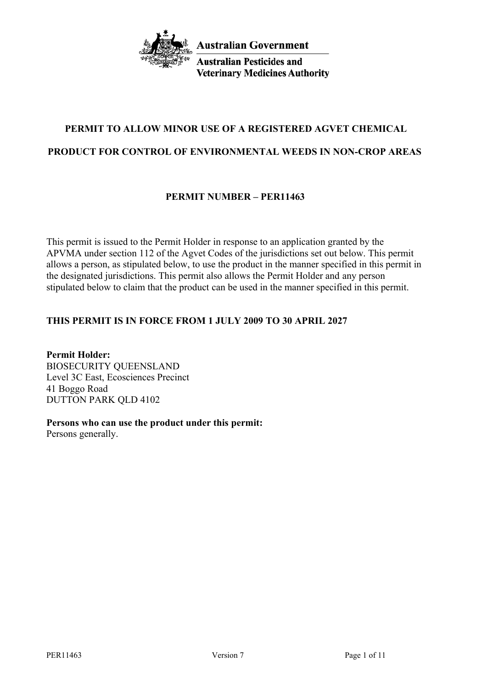

**Australian Pesticides and Veterinary Medicines Authority** 

# **PERMIT TO ALLOW MINOR USE OF A REGISTERED AGVET CHEMICAL**

# **PRODUCT FOR CONTROL OF ENVIRONMENTAL WEEDS IN NON-CROP AREAS**

# **PERMIT NUMBER – PER11463**

This permit is issued to the Permit Holder in response to an application granted by the APVMA under section 112 of the Agvet Codes of the jurisdictions set out below. This permit allows a person, as stipulated below, to use the product in the manner specified in this permit in the designated jurisdictions. This permit also allows the Permit Holder and any person stipulated below to claim that the product can be used in the manner specified in this permit.

# **THIS PERMIT IS IN FORCE FROM 1 JULY 2009 TO 30 APRIL 2027**

**Permit Holder:** BIOSECURITY QUEENSLAND Level 3C East, Ecosciences Precinct 41 Boggo Road DUTTON PARK QLD 4102

**Persons who can use the product under this permit:** Persons generally.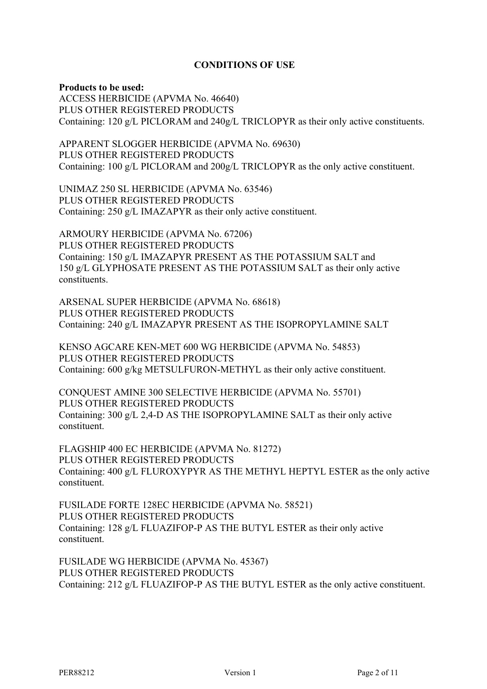#### **CONDITIONS OF USE**

#### **Products to be used:**

ACCESS HERBICIDE (APVMA No. 46640) PLUS OTHER REGISTERED PRODUCTS Containing: 120 g/L PICLORAM and 240g/L TRICLOPYR as their only active constituents.

APPARENT SLOGGER HERBICIDE (APVMA No. 69630) PLUS OTHER REGISTERED PRODUCTS Containing: 100 g/L PICLORAM and 200g/L TRICLOPYR as the only active constituent.

UNIMAZ 250 SL HERBICIDE (APVMA No. 63546) PLUS OTHER REGISTERED PRODUCTS Containing: 250 g/L IMAZAPYR as their only active constituent.

ARMOURY HERBICIDE (APVMA No. 67206) PLUS OTHER REGISTERED PRODUCTS Containing: 150 g/L IMAZAPYR PRESENT AS THE POTASSIUM SALT and 150 g/L GLYPHOSATE PRESENT AS THE POTASSIUM SALT as their only active constituents.

ARSENAL SUPER HERBICIDE (APVMA No. 68618) PLUS OTHER REGISTERED PRODUCTS Containing: 240 g/L IMAZAPYR PRESENT AS THE ISOPROPYLAMINE SALT

KENSO AGCARE KEN-MET 600 WG HERBICIDE (APVMA No. 54853) PLUS OTHER REGISTERED PRODUCTS Containing: 600 g/kg METSULFURON-METHYL as their only active constituent.

CONQUEST AMINE 300 SELECTIVE HERBICIDE (APVMA No. 55701) PLUS OTHER REGISTERED PRODUCTS Containing: 300 g/L 2,4-D AS THE ISOPROPYLAMINE SALT as their only active constituent.

FLAGSHIP 400 EC HERBICIDE (APVMA No. 81272) PLUS OTHER REGISTERED PRODUCTS Containing: 400 g/L FLUROXYPYR AS THE METHYL HEPTYL ESTER as the only active constituent.

FUSILADE FORTE 128EC HERBICIDE (APVMA No. 58521) PLUS OTHER REGISTERED PRODUCTS Containing: 128 g/L FLUAZIFOP-P AS THE BUTYL ESTER as their only active constituent.

FUSILADE WG HERBICIDE (APVMA No. 45367) PLUS OTHER REGISTERED PRODUCTS Containing: 212 g/L FLUAZIFOP-P AS THE BUTYL ESTER as the only active constituent.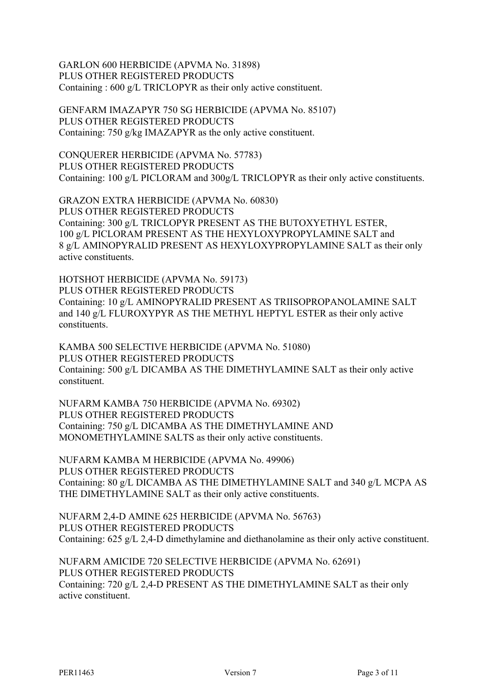GARLON 600 HERBICIDE (APVMA No. 31898) PLUS OTHER REGISTERED PRODUCTS Containing : 600 g/L TRICLOPYR as their only active constituent.

GENFARM IMAZAPYR 750 SG HERBICIDE (APVMA No. 85107) PLUS OTHER REGISTERED PRODUCTS Containing: 750 g/kg IMAZAPYR as the only active constituent.

CONQUERER HERBICIDE (APVMA No. 57783) PLUS OTHER REGISTERED PRODUCTS Containing: 100 g/L PICLORAM and 300g/L TRICLOPYR as their only active constituents.

GRAZON EXTRA HERBICIDE (APVMA No. 60830) PLUS OTHER REGISTERED PRODUCTS Containing: 300 g/L TRICLOPYR PRESENT AS THE BUTOXYETHYL ESTER, 100 g/L PICLORAM PRESENT AS THE HEXYLOXYPROPYLAMINE SALT and 8 g/L AMINOPYRALID PRESENT AS HEXYLOXYPROPYLAMINE SALT as their only active constituents.

HOTSHOT HERBICIDE (APVMA No. 59173) PLUS OTHER REGISTERED PRODUCTS Containing: 10 g/L AMINOPYRALID PRESENT AS TRIISOPROPANOLAMINE SALT and 140 g/L FLUROXYPYR AS THE METHYL HEPTYL ESTER as their only active constituents.

KAMBA 500 SELECTIVE HERBICIDE (APVMA No. 51080) PLUS OTHER REGISTERED PRODUCTS Containing: 500 g/L DICAMBA AS THE DIMETHYLAMINE SALT as their only active constituent.

NUFARM KAMBA 750 HERBICIDE (APVMA No. 69302) PLUS OTHER REGISTERED PRODUCTS Containing: 750 g/L DICAMBA AS THE DIMETHYLAMINE AND MONOMETHYLAMINE SALTS as their only active constituents.

NUFARM KAMBA M HERBICIDE (APVMA No. 49906) PLUS OTHER REGISTERED PRODUCTS Containing: 80 g/L DICAMBA AS THE DIMETHYLAMINE SALT and 340 g/L MCPA AS THE DIMETHYLAMINE SALT as their only active constituents.

NUFARM 2,4-D AMINE 625 HERBICIDE (APVMA No. 56763) PLUS OTHER REGISTERED PRODUCTS Containing: 625 g/L 2,4-D dimethylamine and diethanolamine as their only active constituent.

NUFARM AMICIDE 720 SELECTIVE HERBICIDE (APVMA No. 62691) PLUS OTHER REGISTERED PRODUCTS Containing: 720 g/L 2,4-D PRESENT AS THE DIMETHYLAMINE SALT as their only active constituent.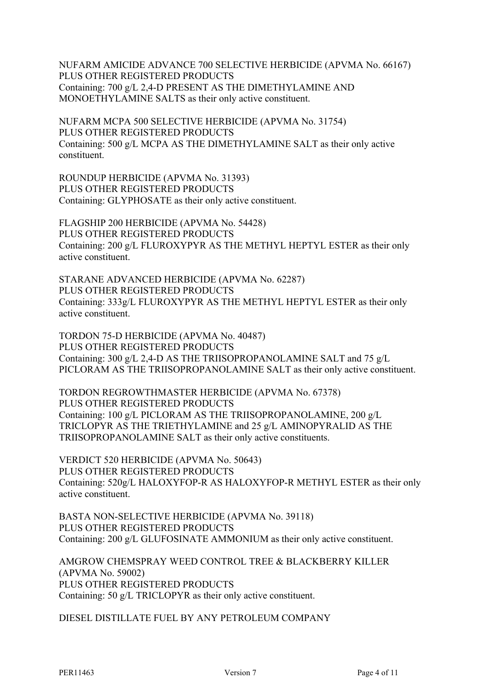NUFARM AMICIDE ADVANCE 700 SELECTIVE HERBICIDE (APVMA No. 66167) PLUS OTHER REGISTERED PRODUCTS Containing: 700 g/L 2,4-D PRESENT AS THE DIMETHYLAMINE AND MONOETHYLAMINE SALTS as their only active constituent.

NUFARM MCPA 500 SELECTIVE HERBICIDE (APVMA No. 31754) PLUS OTHER REGISTERED PRODUCTS Containing: 500 g/L MCPA AS THE DIMETHYLAMINE SALT as their only active constituent.

ROUNDUP HERBICIDE (APVMA No. 31393) PLUS OTHER REGISTERED PRODUCTS Containing: GLYPHOSATE as their only active constituent.

FLAGSHIP 200 HERBICIDE (APVMA No. 54428) PLUS OTHER REGISTERED PRODUCTS Containing: 200 g/L FLUROXYPYR AS THE METHYL HEPTYL ESTER as their only active constituent.

STARANE ADVANCED HERBICIDE (APVMA No. 62287) PLUS OTHER REGISTERED PRODUCTS Containing: 333g/L FLUROXYPYR AS THE METHYL HEPTYL ESTER as their only active constituent.

TORDON 75-D HERBICIDE (APVMA No. 40487) PLUS OTHER REGISTERED PRODUCTS Containing: 300 g/L 2,4-D AS THE TRIISOPROPANOLAMINE SALT and 75 g/L PICLORAM AS THE TRIISOPROPANOLAMINE SALT as their only active constituent.

TORDON REGROWTHMASTER HERBICIDE (APVMA No. 67378) PLUS OTHER REGISTERED PRODUCTS Containing: 100 g/L PICLORAM AS THE TRIISOPROPANOLAMINE, 200 g/L TRICLOPYR AS THE TRIETHYLAMINE and 25 g/L AMINOPYRALID AS THE TRIISOPROPANOLAMINE SALT as their only active constituents.

VERDICT 520 HERBICIDE (APVMA No. 50643) PLUS OTHER REGISTERED PRODUCTS Containing: 520g/L HALOXYFOP-R AS HALOXYFOP-R METHYL ESTER as their only active constituent.

BASTA NON-SELECTIVE HERBICIDE (APVMA No. 39118) PLUS OTHER REGISTERED PRODUCTS Containing: 200 g/L GLUFOSINATE AMMONIUM as their only active constituent.

AMGROW CHEMSPRAY WEED CONTROL TREE & BLACKBERRY KILLER (APVMA No. 59002) PLUS OTHER REGISTERED PRODUCTS Containing: 50 g/L TRICLOPYR as their only active constituent.

DIESEL DISTILLATE FUEL BY ANY PETROLEUM COMPANY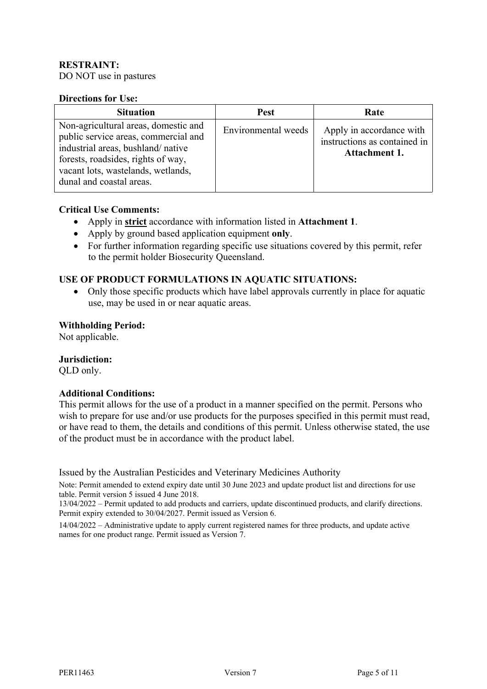### **RESTRAINT:**

DO NOT use in pastures

#### **Directions for Use:**

| <b>Situation</b>                                                                                                                                                                                                          | <b>Pest</b>         | Rate                                                                      |
|---------------------------------------------------------------------------------------------------------------------------------------------------------------------------------------------------------------------------|---------------------|---------------------------------------------------------------------------|
| Non-agricultural areas, domestic and<br>public service areas, commercial and<br>industrial areas, bushland/native<br>forests, roadsides, rights of way,<br>vacant lots, wastelands, wetlands,<br>dunal and coastal areas. | Environmental weeds | Apply in accordance with<br>instructions as contained in<br>Attachment 1. |

#### **Critical Use Comments:**

- Apply in **strict** accordance with information listed in **Attachment 1**.
- Apply by ground based application equipment **only**.
- For further information regarding specific use situations covered by this permit, refer to the permit holder Biosecurity Queensland.

#### **USE OF PRODUCT FORMULATIONS IN AQUATIC SITUATIONS:**

• Only those specific products which have label approvals currently in place for aquatic use, may be used in or near aquatic areas.

#### **Withholding Period:**

Not applicable.

#### **Jurisdiction:**

QLD only.

### **Additional Conditions:**

This permit allows for the use of a product in a manner specified on the permit. Persons who wish to prepare for use and/or use products for the purposes specified in this permit must read, or have read to them, the details and conditions of this permit. Unless otherwise stated, the use of the product must be in accordance with the product label.

Issued by the Australian Pesticides and Veterinary Medicines Authority

Note: Permit amended to extend expiry date until 30 June 2023 and update product list and directions for use table. Permit version 5 issued 4 June 2018.

13/04/2022 – Permit updated to add products and carriers, update discontinued products, and clarify directions. Permit expiry extended to 30/04/2027. Permit issued as Version 6.

14/04/2022 – Administrative update to apply current registered names for three products, and update active names for one product range. Permit issued as Version 7.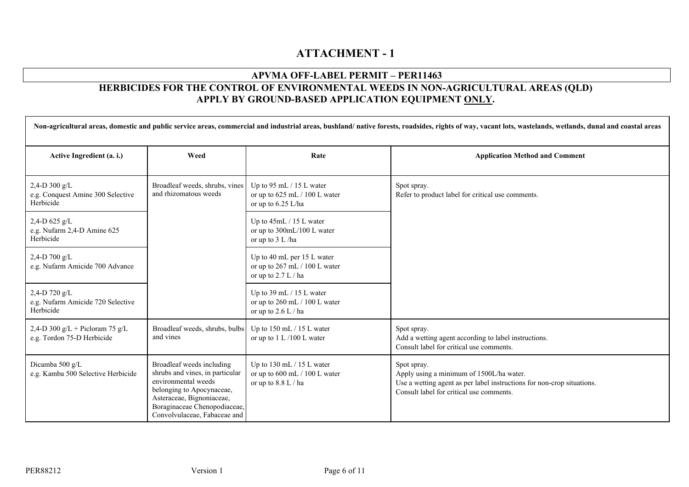# **ATTACHMENT - 1**

## **APVMA OFF-LABEL PERMIT – PER11463**

# **HERBICIDES FOR THE CONTROL OF ENVIRONMENTAL WEEDS IN NON-AGRICULTURAL AREAS (QLD) APPLY BY GROUND-BASED APPLICATION EQUIPMENT ONLY.**

| Non-agricultural areas, domestic and public service areas, commercial and industrial areas, bushland/ native forests, roadsides, rights of way, vacant lots, wastelands, wetlands, dunal and coastal areas |                                                                                                                                                                                                               |                                                                                          |                                                                                                                                                                               |
|------------------------------------------------------------------------------------------------------------------------------------------------------------------------------------------------------------|---------------------------------------------------------------------------------------------------------------------------------------------------------------------------------------------------------------|------------------------------------------------------------------------------------------|-------------------------------------------------------------------------------------------------------------------------------------------------------------------------------|
| Active Ingredient (a. i.)                                                                                                                                                                                  | Weed                                                                                                                                                                                                          | Rate                                                                                     | <b>Application Method and Comment</b>                                                                                                                                         |
| 2,4-D 300 g/L<br>e.g. Conquest Amine 300 Selective<br>Herbicide                                                                                                                                            | Broadleaf weeds, shrubs, vines<br>and rhizomatous weeds                                                                                                                                                       | Up to 95 mL $/$ 15 L water<br>or up to $625$ mL $/$ 100 L water<br>or up to $6.25$ L/ha  | Spot spray.<br>Refer to product label for critical use comments.                                                                                                              |
| 2,4-D 625 g/L<br>e.g. Nufarm 2,4-D Amine 625<br>Herbicide                                                                                                                                                  |                                                                                                                                                                                                               | Up to 45mL / 15 L water<br>or up to 300mL/100 L water<br>or up to 3 L /ha                |                                                                                                                                                                               |
| 2,4-D 700 $g/L$<br>e.g. Nufarm Amicide 700 Advance                                                                                                                                                         |                                                                                                                                                                                                               | Up to 40 mL per 15 L water<br>or up to $267$ mL $/$ 100 L water<br>or up to $2.7 L / ha$ |                                                                                                                                                                               |
| 2,4-D 720 $g/L$<br>e.g. Nufarm Amicide 720 Selective<br>Herbicide                                                                                                                                          |                                                                                                                                                                                                               | Up to 39 mL $/$ 15 L water<br>or up to $260$ mL $/$ 100 L water<br>or up to 2.6 L / ha   |                                                                                                                                                                               |
| 2,4-D 300 g/L + Picloram 75 g/L<br>e.g. Tordon 75-D Herbicide                                                                                                                                              | Broadleaf weeds, shrubs, bulbs<br>and vines                                                                                                                                                                   | Up to $150$ mL $/ 15$ L water<br>or up to $1 L/100 L$ water                              | Spot spray.<br>Add a wetting agent according to label instructions.<br>Consult label for critical use comments.                                                               |
| Dicamba 500 g/L<br>e.g. Kamba 500 Selective Herbicide                                                                                                                                                      | Broadleaf weeds including<br>shrubs and vines, in particular<br>environmental weeds<br>belonging to Apocynaceae,<br>Asteraceae, Bignoniaceae,<br>Boraginaceae Chenopodiaceae,<br>Convolvulaceae, Fabaceae and | Up to $130$ mL $/ 15$ L water<br>or up to 600 mL / 100 L water<br>or up to 8.8 L / ha    | Spot spray.<br>Apply using a minimum of 1500L/ha water.<br>Use a wetting agent as per label instructions for non-crop situations.<br>Consult label for critical use comments. |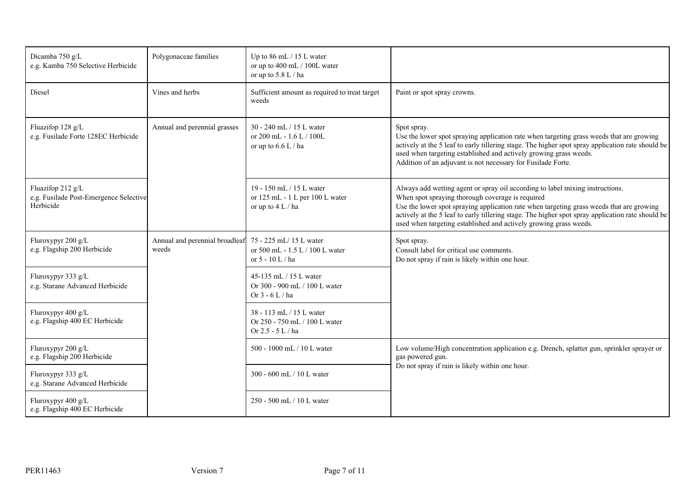| Dicamba 750 g/L<br>e.g. Kamba 750 Selective Herbicide                    | Polygonaceae families                                          | Up to $86$ mL $/$ 15 L water<br>or up to 400 mL / 100L water<br>or up to $5.8 L / ha$ |                                                                                                                                                                                                                                                                                                                                                                                                         |
|--------------------------------------------------------------------------|----------------------------------------------------------------|---------------------------------------------------------------------------------------|---------------------------------------------------------------------------------------------------------------------------------------------------------------------------------------------------------------------------------------------------------------------------------------------------------------------------------------------------------------------------------------------------------|
| Diesel                                                                   | Vines and herbs                                                | Sufficient amount as required to treat target<br>weeds                                | Paint or spot spray crowns.                                                                                                                                                                                                                                                                                                                                                                             |
| Fluazifop 128 g/L<br>e.g. Fusilade Forte 128EC Herbicide                 | Annual and perennial grasses                                   | 30 - 240 mL / 15 L water<br>or 200 mL - 1.6 L / 100L<br>or up to $6.6$ L / ha         | Spot spray.<br>Use the lower spot spraying application rate when targeting grass weeds that are growing<br>actively at the 5 leaf to early tillering stage. The higher spot spray application rate should be<br>used when targeting established and actively growing grass weeds.<br>Addition of an adjuvant is not necessary for Fusilade Forte.                                                       |
| Fluazifop 212 g/L<br>e.g. Fusilade Post-Emergence Selective<br>Herbicide |                                                                | 19 - 150 mL / 15 L water<br>or 125 mL - 1 L per 100 L water<br>or up to $4 L / ha$    | Always add wetting agent or spray oil according to label mixing instructions.<br>When spot spraying thorough coverage is required<br>Use the lower spot spraying application rate when targeting grass weeds that are growing<br>actively at the 5 leaf to early tillering stage. The higher spot spray application rate should be<br>used when targeting established and actively growing grass weeds. |
| Fluroxypyr 200 g/L<br>e.g. Flagship 200 Herbicide                        | Annual and perennial broadleaf 75 - 225 mL/15 L water<br>weeds | or 500 mL - 1.5 L / 100 L water<br>or $5 - 10$ L / ha                                 | Spot spray.<br>Consult label for critical use comments.<br>Do not spray if rain is likely within one hour.                                                                                                                                                                                                                                                                                              |
| Fluroxypyr 333 g/L<br>e.g. Starane Advanced Herbicide                    |                                                                | 45-135 mL / 15 L water<br>Or 300 - 900 mL / 100 L water<br>Or $3 - 6$ L / ha          |                                                                                                                                                                                                                                                                                                                                                                                                         |
| Fluroxypyr 400 g/L<br>e.g. Flagship 400 EC Herbicide                     |                                                                | 38 - 113 mL / 15 L water<br>Or 250 - 750 mL / 100 L water<br>Or $2.5 - 5 L / ha$      |                                                                                                                                                                                                                                                                                                                                                                                                         |
| Fluroxypyr 200 g/L<br>e.g. Flagship 200 Herbicide                        |                                                                | 500 - 1000 mL / 10 L water                                                            | Low volume/High concentration application e.g. Drench, splatter gun, sprinkler sprayer or<br>gas powered gun.                                                                                                                                                                                                                                                                                           |
| Fluroxypyr 333 g/L<br>e.g. Starane Advanced Herbicide                    |                                                                | 300 - 600 mL / 10 L water                                                             | Do not spray if rain is likely within one hour.                                                                                                                                                                                                                                                                                                                                                         |
| Fluroxypyr 400 g/L<br>e.g. Flagship 400 EC Herbicide                     |                                                                | 250 - 500 mL / 10 L water                                                             |                                                                                                                                                                                                                                                                                                                                                                                                         |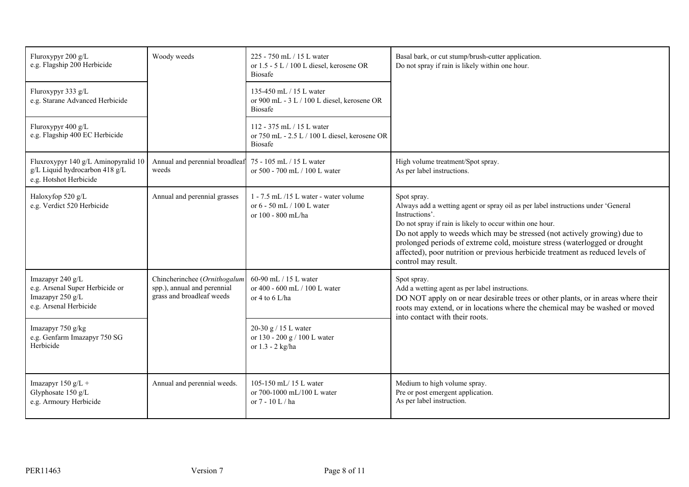| Fluroxypyr 200 g/L<br>e.g. Flagship 200 Herbicide                                                 | Woody weeds                                                                              | 225 - 750 mL / 15 L water<br>or 1.5 - 5 L / 100 L diesel, kerosene OR<br><b>Biosafe</b>      | Basal bark, or cut stump/brush-cutter application.<br>Do not spray if rain is likely within one hour.                                                                                                                                                                                                                                                                                                                                             |
|---------------------------------------------------------------------------------------------------|------------------------------------------------------------------------------------------|----------------------------------------------------------------------------------------------|---------------------------------------------------------------------------------------------------------------------------------------------------------------------------------------------------------------------------------------------------------------------------------------------------------------------------------------------------------------------------------------------------------------------------------------------------|
| Fluroxypyr 333 g/L<br>e.g. Starane Advanced Herbicide                                             |                                                                                          | 135-450 mL / 15 L water<br>or 900 mL - 3 L / 100 L diesel, kerosene OR<br><b>Biosafe</b>     |                                                                                                                                                                                                                                                                                                                                                                                                                                                   |
| Fluroxypyr 400 g/L<br>e.g. Flagship 400 EC Herbicide                                              |                                                                                          | 112 - 375 mL / 15 L water<br>or 750 mL - 2.5 L / 100 L diesel, kerosene OR<br><b>Biosafe</b> |                                                                                                                                                                                                                                                                                                                                                                                                                                                   |
| Fluxroxypyr 140 g/L Aminopyralid 10<br>g/L Liquid hydrocarbon 418 g/L<br>e.g. Hotshot Herbicide   | Annual and perennial broadleaf<br>weeds                                                  | 75 - 105 mL / 15 L water<br>or 500 - 700 mL / 100 L water                                    | High volume treatment/Spot spray.<br>As per label instructions.                                                                                                                                                                                                                                                                                                                                                                                   |
| Haloxyfop 520 g/L<br>e.g. Verdict 520 Herbicide                                                   | Annual and perennial grasses                                                             | 1 - 7.5 mL /15 L water - water volume<br>or 6 - 50 mL / 100 L water<br>or 100 - 800 mL/ha    | Spot spray.<br>Always add a wetting agent or spray oil as per label instructions under 'General<br>Instructions'.<br>Do not spray if rain is likely to occur within one hour.<br>Do not apply to weeds which may be stressed (not actively growing) due to<br>prolonged periods of extreme cold, moisture stress (waterlogged or drought<br>affected), poor nutrition or previous herbicide treatment as reduced levels of<br>control may result. |
| Imazapyr 240 g/L<br>e.g. Arsenal Super Herbicide or<br>Imazapyr 250 g/L<br>e.g. Arsenal Herbicide | Chincherinchee (Ornithogalum<br>spp.), annual and perennial<br>grass and broadleaf weeds | 60-90 mL / 15 L water<br>or 400 - 600 mL / 100 L water<br>or 4 to 6 L/ha                     | Spot spray.<br>Add a wetting agent as per label instructions.<br>DO NOT apply on or near desirable trees or other plants, or in areas where their<br>roots may extend, or in locations where the chemical may be washed or moved<br>into contact with their roots.                                                                                                                                                                                |
| Imazapyr 750 g/kg<br>e.g. Genfarm Imazapyr 750 SG<br>Herbicide                                    |                                                                                          | 20-30 g / 15 L water<br>or 130 - 200 g / 100 L water<br>or 1.3 - 2 kg/ha                     |                                                                                                                                                                                                                                                                                                                                                                                                                                                   |
| Imazapyr 150 $g/L +$<br>Glyphosate 150 g/L<br>e.g. Armoury Herbicide                              | Annual and perennial weeds.                                                              | 105-150 mL/15 L water<br>or 700-1000 mL/100 L water<br>or $7 - 10$ L / ha                    | Medium to high volume spray.<br>Pre or post emergent application.<br>As per label instruction.                                                                                                                                                                                                                                                                                                                                                    |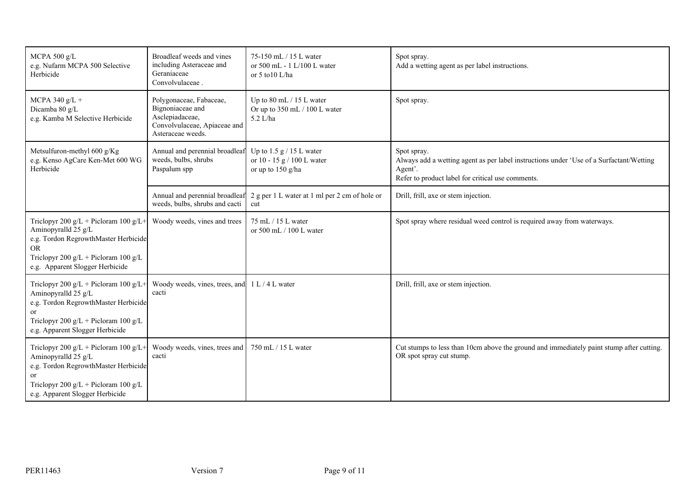| MCPA 500 g/L<br>e.g. Nufarm MCPA 500 Selective<br>Herbicide                                                                                                                                      | Broadleaf weeds and vines<br>including Asteraceae and<br>Geraniaceae<br>Convolvulaceae.                             | 75-150 mL / 15 L water<br>or 500 mL - 1 L/100 L water<br>or $5$ to $10$ L/ha        | Spot spray.<br>Add a wetting agent as per label instructions.                                                                                                          |
|--------------------------------------------------------------------------------------------------------------------------------------------------------------------------------------------------|---------------------------------------------------------------------------------------------------------------------|-------------------------------------------------------------------------------------|------------------------------------------------------------------------------------------------------------------------------------------------------------------------|
| MCPA 340 $g/L +$<br>Dicamba 80 g/L<br>e.g. Kamba M Selective Herbicide                                                                                                                           | Polygonaceae, Fabaceae,<br>Bignoniaceae and<br>Asclepiadaceae,<br>Convolvulaceae, Apiaceae and<br>Asteraceae weeds. | Up to 80 mL / 15 L water<br>Or up to 350 mL / 100 L water<br>$5.2$ L/ha             | Spot spray.                                                                                                                                                            |
| Metsulfuron-methyl 600 g/Kg<br>e.g. Kenso AgCare Ken-Met 600 WG<br>Herbicide                                                                                                                     | Annual and perennial broadleaf<br>weeds, bulbs, shrubs<br>Paspalum spp                                              | Up to $1.5$ g $/ 15$ L water<br>or 10 - 15 g / 100 L water<br>or up to 150 g/ha     | Spot spray.<br>Always add a wetting agent as per label instructions under 'Use of a Surfactant/Wetting<br>Agent'.<br>Refer to product label for critical use comments. |
|                                                                                                                                                                                                  | weeds, bulbs, shrubs and cacti                                                                                      | Annual and perennial broadleaf 2 g per 1 L water at 1 ml per 2 cm of hole or<br>cut | Drill, frill, axe or stem injection.                                                                                                                                   |
| Triclopyr 200 g/L + Picloram 100 g/L+<br>Aminopyralld 25 g/L<br>e.g. Tordon RegrowthMaster Herbicide<br><b>OR</b><br>Triclopyr 200 $g/L$ + Picloram 100 $g/L$<br>e.g. Apparent Slogger Herbicide | Woody weeds, vines and trees                                                                                        | 75 mL / 15 L water<br>or 500 mL / 100 L water                                       | Spot spray where residual weed control is required away from waterways.                                                                                                |
| Triclopyr 200 g/L + Picloram 100 g/L+<br>Aminopyralld 25 g/L<br>e.g. Tordon RegrowthMaster Herbicide<br><sub>or</sub><br>Triclopyr 200 g/L + Picloram 100 g/L<br>e.g. Apparent Slogger Herbicide | Woody weeds, vines, trees, and $1 L / 4 L$ water<br>cacti                                                           |                                                                                     | Drill, frill, axe or stem injection.                                                                                                                                   |
| Triclopyr 200 g/L + Picloram 100 g/L+<br>Aminopyralld 25 g/L<br>e.g. Tordon RegrowthMaster Herbicide<br>or<br>Triclopyr 200 g/L + Picloram 100 g/L<br>e.g. Apparent Slogger Herbicide            | Woody weeds, vines, trees and<br>cacti                                                                              | 750 mL / 15 L water                                                                 | Cut stumps to less than 10cm above the ground and immediately paint stump after cutting.<br>OR spot spray cut stump.                                                   |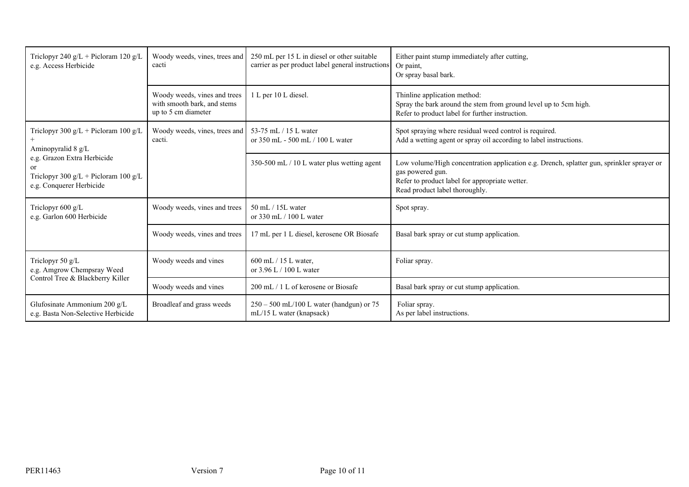| Triclopyr 240 $g/L$ + Picloram 120 $g/L$<br>e.g. Access Herbicide                                         | Woody weeds, vines, trees and<br>cacti                                             | 250 mL per 15 L in diesel or other suitable<br>carrier as per product label general instructions                                                                                                  | Either paint stump immediately after cutting,<br>Or paint,<br>Or spray basal bark.                                                                  |
|-----------------------------------------------------------------------------------------------------------|------------------------------------------------------------------------------------|---------------------------------------------------------------------------------------------------------------------------------------------------------------------------------------------------|-----------------------------------------------------------------------------------------------------------------------------------------------------|
|                                                                                                           | Woody weeds, vines and trees<br>with smooth bark, and stems<br>up to 5 cm diameter | 1 L per 10 L diesel.                                                                                                                                                                              | Thinline application method:<br>Spray the bark around the stem from ground level up to 5cm high.<br>Refer to product label for further instruction. |
| Triclopyr 300 g/L + Picloram 100 g/L<br>Aminopyralid 8 g/L                                                | Woody weeds, vines, trees and<br>cacti.                                            | 53-75 mL / 15 L water<br>or 350 mL - 500 mL / 100 L water                                                                                                                                         | Spot spraying where residual weed control is required.<br>Add a wetting agent or spray oil according to label instructions.                         |
| e.g. Grazon Extra Herbicide<br>or<br>Triclopyr 300 $g/L$ + Picloram 100 $g/L$<br>e.g. Conquerer Herbicide | 350-500 mL / 10 L water plus wetting agent                                         | Low volume/High concentration application e.g. Drench, splatter gun, sprinkler sprayer or<br>gas powered gun.<br>Refer to product label for appropriate wetter.<br>Read product label thoroughly. |                                                                                                                                                     |
| Triclopyr 600 g/L<br>e.g. Garlon 600 Herbicide                                                            | Woody weeds, vines and trees                                                       | 50 mL / 15L water<br>or $330$ mL $/$ 100 L water                                                                                                                                                  | Spot spray.                                                                                                                                         |
|                                                                                                           | Woody weeds, vines and trees                                                       | 17 mL per 1 L diesel, kerosene OR Biosafe                                                                                                                                                         | Basal bark spray or cut stump application.                                                                                                          |
| Triclopyr 50 $g/L$<br>e.g. Amgrow Chempsray Weed<br>Control Tree & Blackberry Killer                      | Woody weeds and vines                                                              | 600 mL / 15 L water,<br>or 3.96 L / 100 L water                                                                                                                                                   | Foliar spray.                                                                                                                                       |
|                                                                                                           | Woody weeds and vines                                                              | 200 mL / 1 L of kerosene or Biosafe                                                                                                                                                               | Basal bark spray or cut stump application.                                                                                                          |
| Glufosinate Ammonium 200 g/L<br>e.g. Basta Non-Selective Herbicide                                        | Broadleaf and grass weeds                                                          | $250 - 500$ mL/100 L water (handgun) or 75<br>mL/15 L water (knapsack)                                                                                                                            | Foliar spray.<br>As per label instructions.                                                                                                         |